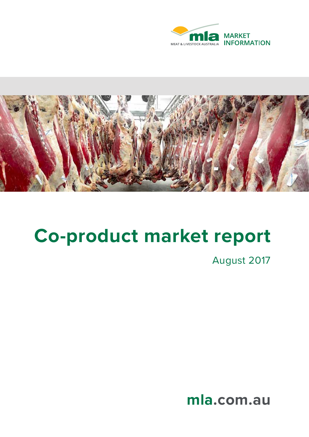



# **Co-product market report**

August 2017

**mla.com.au**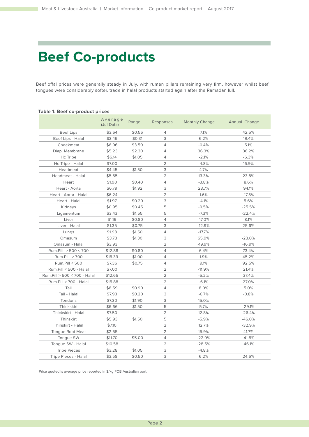# **Beef Co-products**

Beef offal prices were generally steady in July, with rumen pillars remaining very firm, however whilst beef tongues were considerably softer, trade in halal products started again after the Ramadan lull.

### **Table 1: Beef co-product prices**

|                              | Average<br>(Jul Data) | Range  | Responses      | <b>Monthly Change</b> | Annual Change |
|------------------------------|-----------------------|--------|----------------|-----------------------|---------------|
| <b>Beef Lips</b>             | \$3.64                | \$0.56 | 4              | 7.1%                  | 42.5%         |
| Beef Lips - Halal            | \$3.46                | \$0.31 | 3              | 6.2%                  | 19.4%         |
| Cheekmeat                    | \$6.96                | \$3.50 | 4              | $-0.4%$               | 5.1%          |
| Diap. Membrane               | \$5.23                | \$2.30 | 4              | 36.3%                 | 36.2%         |
| Hc Tripe                     | \$6.14                | \$1.05 | 4              | $-2.1%$               | $-6.3%$       |
| Hc Tripe - Halal             | \$7.00                |        | $\overline{2}$ | $-4.8%$               | 16.9%         |
| Headmeat                     | \$4.45                | \$1.50 | 3              | 4.7%                  |               |
| Headmeat - Halal             | \$5.55                |        | 2              | 13.3%                 | 23.8%         |
| Heart                        | \$1.90                | \$0.40 | $\overline{4}$ | $-3.8%$               | 8.6%          |
| Heart - Aorta                | \$6.79                | \$1.92 | 3              | 23.7%                 | 94.1%         |
| Heart - Aorta - Halal        | \$6.24                |        | $\overline{2}$ | 1.6%                  | $-17.8%$      |
| Heart - Halal                | \$1.97                | \$0.20 | 3              | $-4.1%$               | 5.6%          |
| Kidneys                      | \$0.95                | \$0.45 | 5              | $-9.5%$               | $-25.5%$      |
| Ligamentum                   | \$3.43                | \$1.55 | 5              | $-7.3%$               | $-22.4%$      |
| Liver                        | \$1.16                | \$0.80 | $\overline{4}$ | $-17.0%$              | 8.1%          |
| Liver - Halal                | \$1.35                | \$0.75 | 3              | $-12.9%$              | 25.6%         |
| Lungs                        | \$1.98                | \$1.50 | 4              | $-17.7%$              |               |
| Omasum                       | \$3.73                | \$1.30 | З              | 65.9%                 | $-23.0%$      |
| Omasum - Halal               | \$3.93                |        | 2              | $-19.9%$              | $-16.9%$      |
| Rum.Pill > 500 < 700         | \$12.88               | \$0.80 | 4              | 6.4%                  | 73.4%         |
| Rum.Pill > 700               | \$15.39               | \$1.00 | 4              | 1.9%                  | 45.2%         |
| Rum.Pill < 500               | \$7.36                | \$0.75 | 4              | 9.1%                  | 92.5%         |
| Rum.Pill < 500 - Halal       | \$7.00                |        | 2              | $-11.9%$              | 21.4%         |
| Rum.Pill > 500 < 700 - Halal | \$12.65               |        | $\overline{2}$ | $-5.2%$               | 37.4%         |
| Rum.Pill > 700 - Halal       | \$15.88               |        | $\overline{2}$ | $-6.1%$               | 27.0%         |
| Tail                         | \$8.59                | \$0.90 | 4              | 8.0%                  | 5.0%          |
| Tail - Halal                 | \$7.93                | \$0.20 | 3              | $-6.7%$               | $-0.8%$       |
| Tendons                      | \$7.30                | \$1.90 | 3              | 15.0%                 |               |
| Thickskirt                   | \$6.66                | \$1.50 | 5              | 5.7%                  | $-29.1%$      |
| Thickskirt - Halal           | \$7.50                |        | $\overline{2}$ | 12.8%                 | $-26.4%$      |
| Thinskirt                    | \$5.93                | \$1.50 | 5              | $-5.9%$               | $-46.0%$      |
| Thinskirt - Halal            | \$7.10                |        | $\overline{2}$ | 12.7%                 | $-32.9%$      |
| Tongue Root Meat             | \$2.55                |        | 2              | 15.9%                 | 41.7%         |
| Tongue SW                    | \$11.70               | \$5.00 | 4              | $-22.9%$              | -41.5%        |
| Tongue SW - Halal            | \$10.58               |        | $\overline{2}$ | $-28.5%$              | $-46.1%$      |
| <b>Tripe Pieces</b>          | \$3.28                | \$1.05 | 3              | $-4.8%$               |               |
| Tripe Pieces - Halal         | \$3.58                | \$0.50 | 3              | 6.2%                  | 24.6%         |

Price quoted is average price reported in \$/kg FOB Australian port.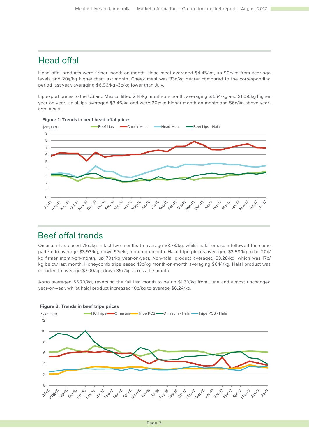## Head offal

Head offal products were firmer month-on-month. Head meat averaged \$4.45/kg, up 90¢/kg from year-ago levels and 20¢/kg higher than last month. Cheek meat was 33¢/kg dearer compared to the corresponding period last year, averaging \$6.96/kg -3¢/kg lower than July.

Lip export prices to the US and Mexico lifted 24¢/kg month-on-month, averaging \$3.64/kg and \$1.09/kg higher year-on-year. Halal lips averaged \$3.46/kg and were 20¢/kg higher month-on-month and 56¢/kg above yearago levels.



### Beef offal trends

Omasum has eased 75¢/kg in last two months to average \$3.73/kg, whilst halal omasum followed the same pattern to average \$3.93/kg, down 97¢/kg month-on-month. Halal tripe pieces averaged \$3.58/kg to be 20¢/ kg firmer month-on-month, up 70¢/kg year-on-year. Non-halal product averaged \$3.28/kg, which was 17¢/ kg below last month. Honeycomb tripe eased 13¢/kg month-on-month averaging \$6.14/kg. Halal product was reported to average \$7.00/kg, down 35¢/kg across the month.

Aorta averaged \$6.79/kg, reversing the fall last month to be up \$1.30/kg from June and almost unchanged year-on-year, whilst halal product increased 10¢/kg to average \$6.24/kg.



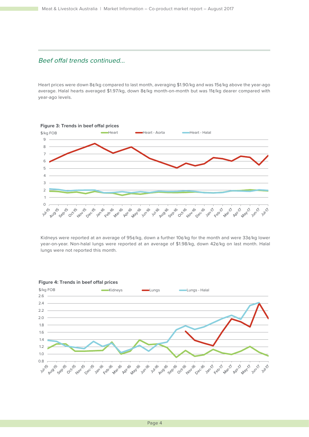### Beef offal trends continued...

Heart prices were down 8¢/kg compared to last month, averaging \$1.90/kg and was 15¢/kg above the year-ago average. Halal hearts averaged \$1.97/kg, down 8¢/kg month-on-month but was 11¢/kg dearer compared with year-ago levels.



Kidneys were reported at an average of 95¢/kg, down a further 10¢/kg for the month and were 33¢/kg lower year-on-year. Non-halal lungs were reported at an average of \$1.98/kg, down 42¢/kg on last month. Halal lungs were not reported this month.



#### **Figure 4: Trends in beef offal prices**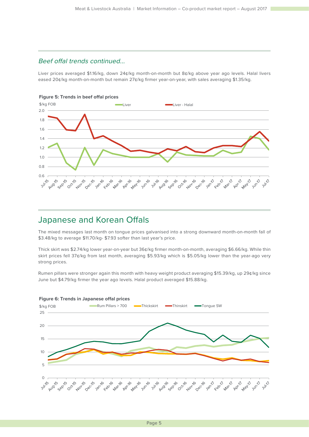### Beef offal trends continued...

Liver prices averaged \$1.16/kg, down 24¢/kg month-on-month but 8¢/kg above year ago levels. Halal livers eased 20¢/kg month-on-month but remain 27¢/kg firmer year-on-year, with sales averaging \$1.35/kg.



# Japanese and Korean Offals

The mixed messages last month on tongue prices galvanised into a strong downward month-on-month fall of \$3.48/kg to average \$11.70/kg- \$7.93 softer than last year's price.

Thick skirt was \$2.74/kg lower year-on-year but 36¢/kg firmer month-on-month, averaging \$6.66/kg. While thin skirt prices fell 37¢/kg from last month, averaging \$5.93/kg which is \$5.05/kg lower than the year-ago very strong prices.

Rumen pillars were stronger again this month with heavy weight product averaging \$15.39/kg, up 29¢/kg since June but \$4.79/kg firmer the year ago levels. Halal product averaged \$15.88/kg.



### **Figure 6: Trends in Japanese offal prices**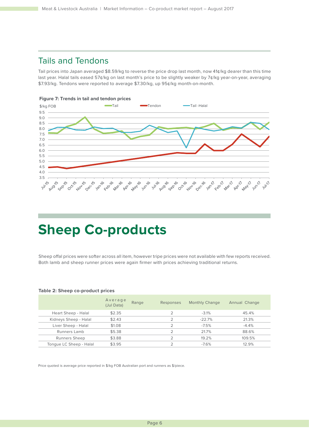# Tails and Tendons

Tail prices into Japan averaged \$8.59/kg to reverse the price drop last month, now 41¢/kg dearer than this time last year. Halal tails eased 57¢/kg on last month's price to be slightly weaker by 7¢/kg year-on-year, averaging \$7.93/kg. Tendons were reported to average \$7.30/kg, up 95¢/kg month-on-month.





# **Sheep Co-products**

Sheep offal prices were softer across all item, however tripe prices were not available with few reports received. Both lamb and sheep runner prices were again firmer with prices achieving traditional returns.

|                         | Average<br>(Jul Data) | Range | Responses | <b>Monthly Change</b> | Annual Change |
|-------------------------|-----------------------|-------|-----------|-----------------------|---------------|
| Heart Sheep - Halal     | \$2.35                |       |           | $-3.1%$               | 45.4%         |
| Kidneys Sheep - Halal   | \$2.43                |       |           | $-22.7%$              | 21.3%         |
| Liver Sheep - Halal     | \$1.08                |       |           | $-7.5%$               | $-4.4%$       |
| Runners Lamb            | \$5.38                |       |           | 21.7%                 | 88.6%         |
| <b>Runners Sheep</b>    | \$3.88                |       |           | 19.2%                 | 109.5%        |
| Tonque LC Sheep - Halal | \$3.95                |       |           | $-7.6%$               | 12.9%         |

### **Table 2: Sheep co-product prices**

Price quoted is average price reported in \$/kg FOB Australian port and runners as \$/piece.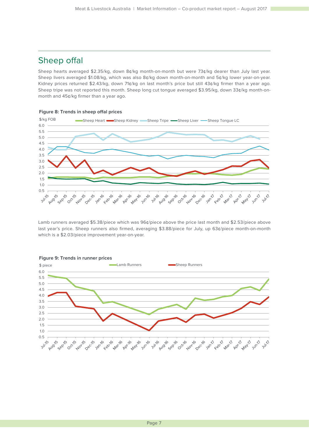# Sheep offal

**Figure 8: Trends in sheep offal prices**

Sheep hearts averaged \$2.35/kg, down 8¢/kg month-on-month but were 73¢/kg dearer than July last year. Sheep livers averaged \$1.08/kg, which was also 8¢/kg down month-on-month and 5¢/kg lower year-on-year. Kidney prices returned \$2.43/kg, down 71¢/kg on last month's price but still 43¢/kg firmer than a year ago. Sheep tripe was not reported this month. Sheep long cut tongue averaged \$3.95/kg, down 33¢/kg month-onmonth and 45¢/kg firmer than a year ago.



Lamb runners averaged \$5.38/piece which was 96¢/piece above the price last month and \$2.53/piece above

last year's price. Sheep runners also firmed, averaging \$3.88/piece for July, up 63¢/piece month-on-month which is a \$2.03/piece improvement year-on-year.

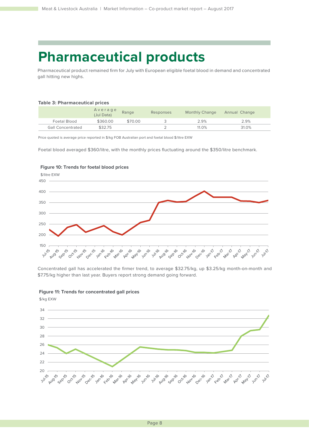# **Pharmaceutical products**

Pharmaceutical product remained firm for July with European eligible foetal blood in demand and concentrated gall hitting new highs.

### **Table 3: Pharmaceutical prices**

|                          | A v e r a g e<br>(Jul Data) | Range   | Responses | <b>Monthly Change</b> | Annual Change |
|--------------------------|-----------------------------|---------|-----------|-----------------------|---------------|
| Foetal Blood             | \$360.00                    | \$70.00 |           | 2.9%                  | 2.9%          |
| <b>Gall Concentrated</b> | \$32.75                     |         |           | 11.0%                 | 31.0%         |

Price quoted is average price reported in \$/kg FOB Australian port and foetal blood \$/litre EXW

Foetal blood averaged \$360/litre, with the monthly prices fluctuating around the \$350/litre benchmark.



### **Figure 10: Trends for foetal blood prices**

Concentrated gall has accelerated the firmer trend, to average \$32.75/kg, up \$3.25/kg month-on-month and \$7.75/kg higher than last year. Buyers report strong demand going forward.





\$/kg EXW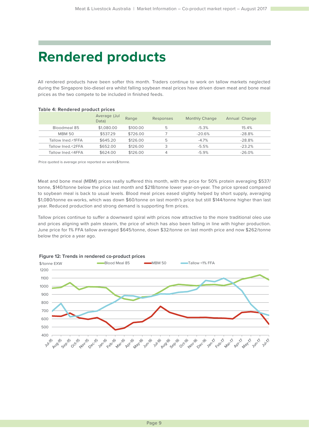# **Rendered products**

All rendered products have been softer this month. Traders continue to work on tallow markets neglected during the Singapore bio-diesel era whilst falling soybean meal prices have driven down meat and bone meal prices as the two compete to be included in finished feeds.

| <b>Table 4: Rendered product prices</b> |                       |          |           |                       |               |  |  |
|-----------------------------------------|-----------------------|----------|-----------|-----------------------|---------------|--|--|
|                                         | Average (Jul<br>Data) | Range    | Responses | <b>Monthly Change</b> | Annual Change |  |  |
| Bloodmeal 85                            | \$1,080.00            | \$100.00 | 5         | $-5.3%$               | 15.4%         |  |  |
| <b>MBM 50</b>                           | \$537.29              | \$726.00 |           | $-20.6%$              | $-28.8%$      |  |  |
| Tallow Ined.<1FFA                       | \$645.20              | \$126.00 | 5         | $-4.7\%$              | $-28.8%$      |  |  |
| Tallow Ined.<2FFA                       | \$652.00              | \$126.00 | 3         | $-5.5%$               | $-23.2%$      |  |  |
| Tallow Ined.<4FFA                       | \$624.00              | \$126.00 | 4         | $-5.9%$               | $-26.0\%$     |  |  |
|                                         |                       |          |           |                       |               |  |  |

Price quoted is average price reported ex works\$/tonne.

Meat and bone meal (MBM) prices really suffered this month, with the price for 50% protein averaging \$537/ tonne, \$140/tonne below the price last month and \$218/tonne lower year-on-year. The price spread compared to soybean meal is back to usual levels. Blood meal prices eased slightly helped by short supply, averaging \$1,080/tonne ex-works, which was down \$60/tonne on last month's price but still \$144/tonne higher than last year. Reduced production and strong demand is supporting firm prices.

Tallow prices continue to suffer a downward spiral with prices now attractive to the more traditional oleo use and prices aligning with palm stearin, the price of which has also been falling in line with higher production. June price for 1% FFA tallow averaged \$645/tonne, down \$32/tonne on last month price and now \$262/tonne below the price a year ago.



**Figure 12: Trends in rendered co-product prices**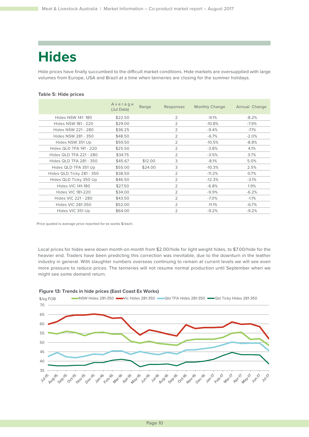# **Hides**

Hide prices have finally succumbed to the difficult market conditions. Hide markets are oversupplied with large volumes from Europe, USA and Brazil at a time when tanneries are closing for the summer holidays.

### **Table 5: Hide prices**

|                                | Average<br>(Jul Data) | Range   | Responses      | <b>Monthly Change</b> | Annual Change |
|--------------------------------|-----------------------|---------|----------------|-----------------------|---------------|
| <b>Hides NSW 141-180</b>       | \$22.50               |         | $\mathcal{P}$  | $-9.1%$               | $-8.2%$       |
| Hides NSW 181 - 220            | \$29.00               |         | $\overline{2}$ | $-10.8%$              | $-7.9%$       |
| Hides NSW 221 - 280            | \$36.25               |         | $\overline{2}$ | $-9.4%$               | $-7.1%$       |
| Hides NSW 281 - 350            | \$48.50               |         | 2              | $-6.7%$               | $-2.0%$       |
| Hides NSW 351 Up               | \$59.50               |         | 2              | $-10.5%$              | $-8.8%$       |
| <b>Hides QLD TFA 141 - 220</b> | \$25.50               |         | 2              | $-3.8%$               | 4.1%          |
| <b>Hides QLD TFA 221 - 280</b> | \$34.75               |         | $\overline{2}$ | $-3.5%$               | 3.7%          |
| Hides QLD TFA 281 - 350        | \$45.67               | \$12.00 | 3              | $-8.1%$               | 5.0%          |
| Hides QLD TFA 351 Up           | \$55.00               | \$24.00 | 3              | $-10.3%$              | 2.5%          |
| Hides QLD Ticky 281 - 350      | \$38.50               |         | $\overline{2}$ | $-11.2%$              | 0.7%          |
| Hides QLD Ticky 350 Up         | \$46.50               |         | $\overline{2}$ | $-12.3%$              | $-3.1%$       |
| <b>Hides VIC 141-180</b>       | \$27.50               |         | $\overline{2}$ | $-6.8%$               | 1.9%          |
| <b>Hides VIC 181-220</b>       | \$34.00               |         | $\overline{2}$ | $-9.9%$               | $-6.2%$       |
| Hides VIC 221 - 280            | \$43.50               |         | $\overline{2}$ | $-7.0%$               | $-1.1\%$      |
| <b>Hides VIC 281-350</b>       | \$52.00               |         | $\overline{2}$ | $-11.1%$              | $-6.7%$       |
| Hides VIC 351 Up               | \$64.00               |         | $\overline{2}$ | $-9.2%$               | $-9.2%$       |

Price quoted is average price reported for ex works \$/each.

Local prices for hides were down month-on-month from \$2.00/hide for light weight hides, to \$7.00/hide for the heavier end. Traders have been predicting this correction was inevitable, due to the downturn in the leather industry in general. With slaughter numbers overseas continuing to remain at current levels we will see even more pressure to reduce prices. The tanneries will not resume normal production until September when we might see some demand return.



#### **Figure 13: Trends in hide prices (East Coast Ex Works)**